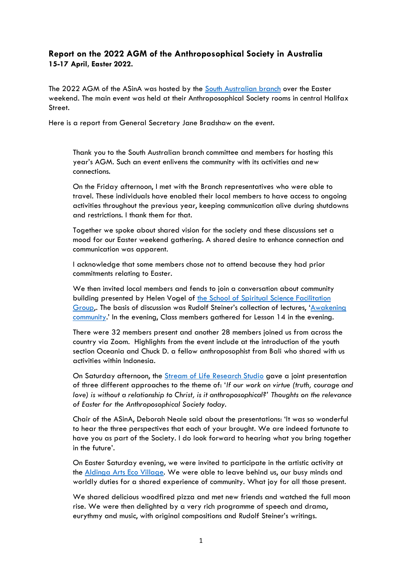## **Report on the 2022 AGM of the Anthroposophical Society in Australia 15-17 April, Easter 2022.**

The 2022 AGM of the ASinA was hosted by the [South Australian branch](https://www.anthroposophyau.org.au/locations/south-australian-branch/) over the Easter weekend. The main event was held at their Anthroposophical Society rooms in central Halifax Street.

Here is a report from General Secretary Jane Bradshaw on the event.

Thank you to the South Australian branch committee and members for hosting this year's AGM. Such an event enlivens the community with its activities and new connections.

On the Friday afternoon, I met with the Branch representatives who were able to travel. These individuals have enabled their local members to have access to ongoing activities throughout the previous year, keeping communication alive during shutdowns and restrictions. I thank them for that.

Together we spoke about shared vision for the society and these discussions set a mood for our Easter weekend gathering. A shared desire to enhance connection and communication was apparent.

I acknowledge that some members chose not to attend because they had prior commitments relating to Easter.

We then invited local members and fends to join a conversation about community building presented by Helen Vogel of the School of Spiritual Science Facilitation [Group,](https://www.anthroposophyau.org.au/school-of-spiritual-science-copy/). The basis of discussion was Rudolf Steiner's collection of lectures, '[Awakening](https://rsarchive.org/Lectures/GA257/English/AP1974/AwkCom_index.html)  [community.](https://rsarchive.org/Lectures/GA257/English/AP1974/AwkCom_index.html)' In the evening, Class members gathered for Lesson 14 in the evening.

There were 32 members present and another 28 members joined us from across the country via Zoom. Highlights from the event include at the introduction of the youth section Oceania and Chuck D. a fellow anthroposophist from Bali who shared with us activities within Indonesia.

On Saturday afternoon, the [Stream of Life Research Studio](https://www.eventbrite.com.au/o/stream-of-life-research-studio-34104637955) gave a joint presentation of three different approaches to the theme of: '*If our work on virtue (truth, courage and love) is without a relationship to Christ, is it anthroposophical?' Thoughts on the relevance of Easter for the Anthroposophical Society today.*

Chair of the ASinA, Deborah Neale said about the presentations: 'It was so wonderful to hear the three perspectives that each of your brought. We are indeed fortunate to have you as part of the Society. I do look forward to hearing what you bring together in the future'.

On Easter Saturday evening, we were invited to participate in the artistic activity at the [Aldinga Arts Eco Village.](https://aldingaartsecovillage.com/wordpress/) We were able to leave behind us, our busy minds and worldly duties for a shared experience of community. What joy for all those present.

We shared delicious woodfired pizza and met new friends and watched the full moon rise. We were then delighted by a very rich programme of speech and drama, eurythmy and music, with original compositions and Rudolf Steiner's writings.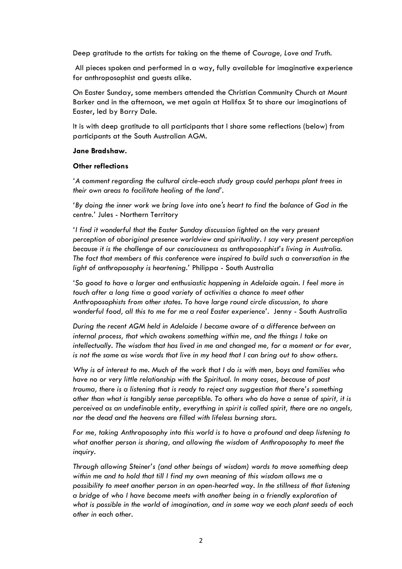Deep gratitude to the artists for taking on the theme of *Courage, Love and Truth.*

All pieces spoken and performed in a way, fully available for imaginative experience for anthroposophist and guests alike.

On Easter Sunday, some members attended the Christian Community Church at Mount Barker and in the afternoon, we met again at Halifax St to share our imaginations of Easter, led by Barry Dale.

It is with deep gratitude to all participants that I share some reflections (below) from participants at the South Australian AGM.

## **Jane Bradshaw.**

## **Other reflections**

*'A comment regarding the cultural circle-each study group could perhaps plant trees in their own areas to facilitate healing of the land'.* 

*'By doing the inner work we bring love into one's heart to find the balance of God in the centre.'* Jules - Northern Territory

*'I find it wonderful that the Easter Sunday discussion lighted on the very present perception of aboriginal presence worldview and spirituality. I say very present perception because it is the challenge of our consciousness as anthroposophist's living in Australia. The fact that members of this conference were inspired to build such a conversation in the light of anthroposophy is heartening.'* Philippa - South Australia

*'So good to have a larger and enthusiastic happening in Adelaide again. I feel more in touch after a long time a good variety of activities a chance to meet other Anthroposophists from other states. To have large round circle discussion, to share wonderful food, all this to me for me a real Easter experience'.* Jenny - South Australia

*During the recent AGM held in Adelaide I became aware of a difference between an internal process, that which awakens something within me, and the things I take on intellectually. The wisdom that has lived in me and changed me, for a moment or for ever, is not the same as wise words that live in my head that I can bring out to show others.* 

*Why is of interest to me. Much of the work that I do is with men, boys and families who have no or very little relationship with the Spiritual. In many cases, because of past trauma, there is a listening that is ready to reject any suggestion that there's something other than what is tangibly sense perceptible. To others who do have a sense of spirit, it is perceived as an undefinable entity, everything in spirit is called spirit, there are no angels, nor the dead and the heavens are filled with lifeless burning stars.*

*For me, taking Anthroposophy into this world is to have a profound and deep listening to what another person is sharing, and allowing the wisdom of Anthroposophy to meet the inquiry.* 

*Through allowing Steiner's (and other beings of wisdom) words to move something deep within me and to hold that till I find my own meaning of this wisdom allows me a possibility to meet another person in an open-hearted way. In the stillness of that listening a bridge of who I have become meets with another being in a friendly exploration of what is possible in the world of imagination, and in some way we each plant seeds of each other in each other.*